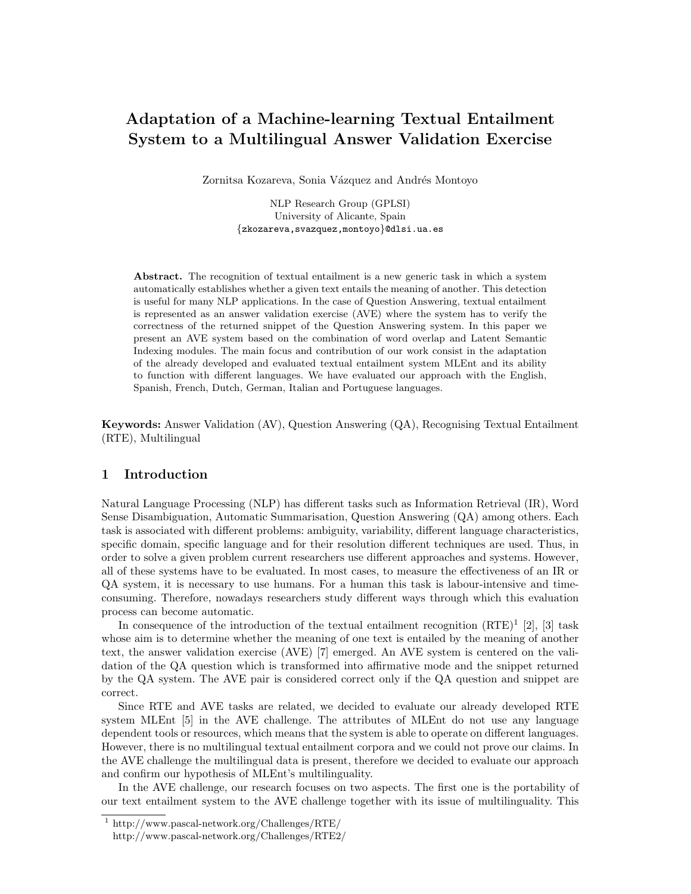# Adaptation of a Machine-learning Textual Entailment System to a Multilingual Answer Validation Exercise

Zornitsa Kozareva, Sonia Vázquez and Andrés Montoyo

NLP Research Group (GPLSI) University of Alicante, Spain {zkozareva,svazquez,montoyo}@dlsi.ua.es

Abstract. The recognition of textual entailment is a new generic task in which a system automatically establishes whether a given text entails the meaning of another. This detection is useful for many NLP applications. In the case of Question Answering, textual entailment is represented as an answer validation exercise (AVE) where the system has to verify the correctness of the returned snippet of the Question Answering system. In this paper we present an AVE system based on the combination of word overlap and Latent Semantic Indexing modules. The main focus and contribution of our work consist in the adaptation of the already developed and evaluated textual entailment system MLEnt and its ability to function with different languages. We have evaluated our approach with the English, Spanish, French, Dutch, German, Italian and Portuguese languages.

Keywords: Answer Validation (AV), Question Answering (QA), Recognising Textual Entailment (RTE), Multilingual

## 1 Introduction

Natural Language Processing (NLP) has different tasks such as Information Retrieval (IR), Word Sense Disambiguation, Automatic Summarisation, Question Answering (QA) among others. Each task is associated with different problems: ambiguity, variability, different language characteristics, specific domain, specific language and for their resolution different techniques are used. Thus, in order to solve a given problem current researchers use different approaches and systems. However, all of these systems have to be evaluated. In most cases, to measure the effectiveness of an IR or QA system, it is necessary to use humans. For a human this task is labour-intensive and timeconsuming. Therefore, nowadays researchers study different ways through which this evaluation process can become automatic.

In consequence of the introduction of the textual entailment recognition  $(RTE)^{1}$  [2], [3] task whose aim is to determine whether the meaning of one text is entailed by the meaning of another text, the answer validation exercise (AVE) [7] emerged. An AVE system is centered on the validation of the QA question which is transformed into affirmative mode and the snippet returned by the QA system. The AVE pair is considered correct only if the QA question and snippet are correct.

Since RTE and AVE tasks are related, we decided to evaluate our already developed RTE system MLEnt [5] in the AVE challenge. The attributes of MLEnt do not use any language dependent tools or resources, which means that the system is able to operate on different languages. However, there is no multilingual textual entailment corpora and we could not prove our claims. In the AVE challenge the multilingual data is present, therefore we decided to evaluate our approach and confirm our hypothesis of MLEnt's multilinguality.

In the AVE challenge, our research focuses on two aspects. The first one is the portability of our text entailment system to the AVE challenge together with its issue of multilinguality. This

<sup>1</sup> http://www.pascal-network.org/Challenges/RTE/

http://www.pascal-network.org/Challenges/RTE2/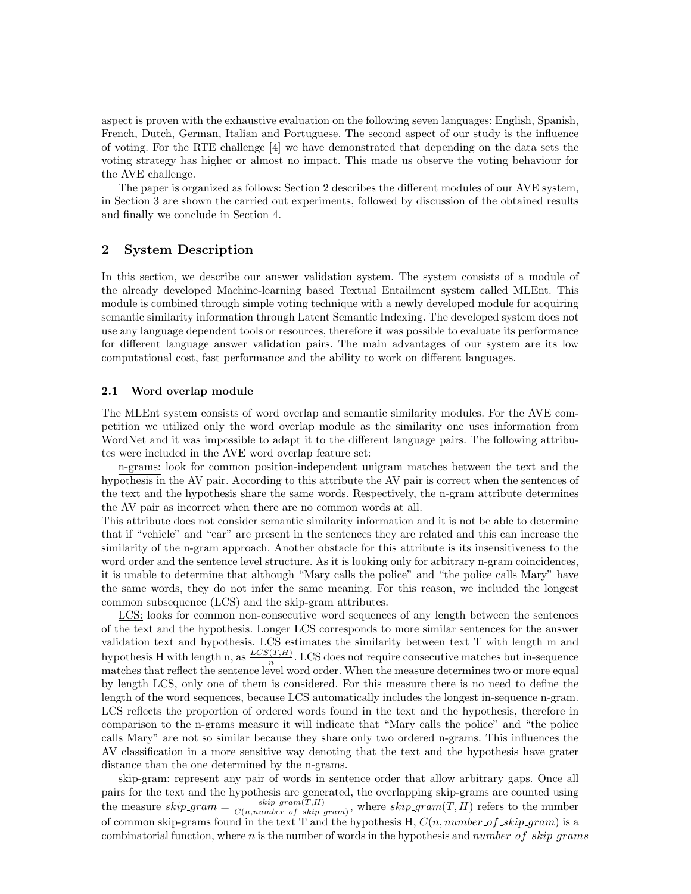aspect is proven with the exhaustive evaluation on the following seven languages: English, Spanish, French, Dutch, German, Italian and Portuguese. The second aspect of our study is the influence of voting. For the RTE challenge [4] we have demonstrated that depending on the data sets the voting strategy has higher or almost no impact. This made us observe the voting behaviour for the AVE challenge.

The paper is organized as follows: Section 2 describes the different modules of our AVE system, in Section 3 are shown the carried out experiments, followed by discussion of the obtained results and finally we conclude in Section 4.

## 2 System Description

In this section, we describe our answer validation system. The system consists of a module of the already developed Machine-learning based Textual Entailment system called MLEnt. This module is combined through simple voting technique with a newly developed module for acquiring semantic similarity information through Latent Semantic Indexing. The developed system does not use any language dependent tools or resources, therefore it was possible to evaluate its performance for different language answer validation pairs. The main advantages of our system are its low computational cost, fast performance and the ability to work on different languages.

#### 2.1 Word overlap module

The MLEnt system consists of word overlap and semantic similarity modules. For the AVE competition we utilized only the word overlap module as the similarity one uses information from WordNet and it was impossible to adapt it to the different language pairs. The following attributes were included in the AVE word overlap feature set:

n-grams: look for common position-independent unigram matches between the text and the hypothesis in the AV pair. According to this attribute the AV pair is correct when the sentences of the text and the hypothesis share the same words. Respectively, the n-gram attribute determines the AV pair as incorrect when there are no common words at all.

This attribute does not consider semantic similarity information and it is not be able to determine that if "vehicle" and "car" are present in the sentences they are related and this can increase the similarity of the n-gram approach. Another obstacle for this attribute is its insensitiveness to the word order and the sentence level structure. As it is looking only for arbitrary n-gram coincidences, it is unable to determine that although "Mary calls the police" and "the police calls Mary" have the same words, they do not infer the same meaning. For this reason, we included the longest common subsequence (LCS) and the skip-gram attributes.

LCS: looks for common non-consecutive word sequences of any length between the sentences of the text and the hypothesis. Longer LCS corresponds to more similar sentences for the answer validation text and hypothesis. LCS estimates the similarity between text T with length m and hypothesis H with length n, as  $\frac{LCS(T,H)}{n}$ . LCS does not require consecutive matches but in-sequence matches that reflect the sentence level word order. When the measure determines two or more equal by length LCS, only one of them is considered. For this measure there is no need to define the length of the word sequences, because LCS automatically includes the longest in-sequence n-gram. LCS reflects the proportion of ordered words found in the text and the hypothesis, therefore in comparison to the n-grams measure it will indicate that "Mary calls the police" and "the police calls Mary" are not so similar because they share only two ordered n-grams. This influences the AV classification in a more sensitive way denoting that the text and the hypothesis have grater distance than the one determined by the n-grams.

skip-gram: represent any pair of words in sentence order that allow arbitrary gaps. Once all pairs for the text and the hypothesis are generated, the overlapping skip-grams are counted using the measure  $skip_0$   $skip_0$   $skip_0$   $skip_0$   $skip_0$   $gram = \frac{skip_0}{C(n) \ number \ of \ chinfty}$  $\frac{skip_1_{skip-1}^{skip_1}1}{C(n, number\_of\_skip_1;1)}$ , where  $skip_1^{skip_1}1$  refers to the number of common skip-grams found in the text T and the hypothesis H,  $C(n, number of -skip\_gram)$  is a combinatorial function, where  $n$  is the number of words in the hypothesis and number  $of$   $\_skip$   $qrams$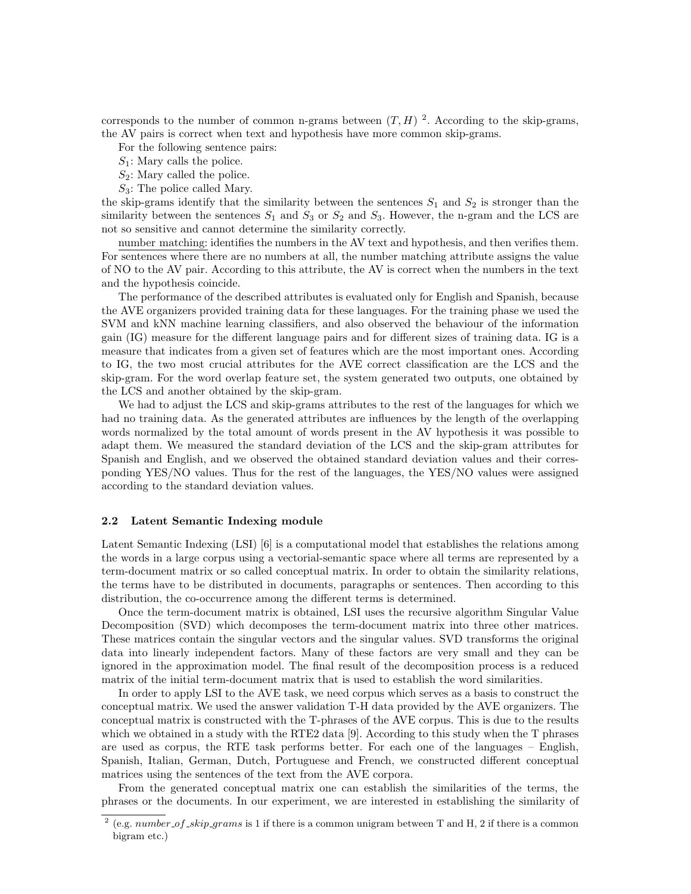corresponds to the number of common n-grams between  $(T, H)$ <sup>2</sup>. According to the skip-grams, the AV pairs is correct when text and hypothesis have more common skip-grams.

For the following sentence pairs:

- $S_1$ : Mary calls the police.
- $S_2$ : Mary called the police.
- $S_3$ : The police called Mary.

the skip-grams identify that the similarity between the sentences  $S_1$  and  $S_2$  is stronger than the similarity between the sentences  $S_1$  and  $S_3$  or  $S_2$  and  $S_3$ . However, the n-gram and the LCS are not so sensitive and cannot determine the similarity correctly.

number matching: identifies the numbers in the AV text and hypothesis, and then verifies them. For sentences where there are no numbers at all, the number matching attribute assigns the value of NO to the AV pair. According to this attribute, the AV is correct when the numbers in the text and the hypothesis coincide.

The performance of the described attributes is evaluated only for English and Spanish, because the AVE organizers provided training data for these languages. For the training phase we used the SVM and kNN machine learning classifiers, and also observed the behaviour of the information gain (IG) measure for the different language pairs and for different sizes of training data. IG is a measure that indicates from a given set of features which are the most important ones. According to IG, the two most crucial attributes for the AVE correct classification are the LCS and the skip-gram. For the word overlap feature set, the system generated two outputs, one obtained by the LCS and another obtained by the skip-gram.

We had to adjust the LCS and skip-grams attributes to the rest of the languages for which we had no training data. As the generated attributes are influences by the length of the overlapping words normalized by the total amount of words present in the AV hypothesis it was possible to adapt them. We measured the standard deviation of the LCS and the skip-gram attributes for Spanish and English, and we observed the obtained standard deviation values and their corresponding YES/NO values. Thus for the rest of the languages, the YES/NO values were assigned according to the standard deviation values.

#### 2.2 Latent Semantic Indexing module

Latent Semantic Indexing (LSI) [6] is a computational model that establishes the relations among the words in a large corpus using a vectorial-semantic space where all terms are represented by a term-document matrix or so called conceptual matrix. In order to obtain the similarity relations, the terms have to be distributed in documents, paragraphs or sentences. Then according to this distribution, the co-occurrence among the different terms is determined.

Once the term-document matrix is obtained, LSI uses the recursive algorithm Singular Value Decomposition (SVD) which decomposes the term-document matrix into three other matrices. These matrices contain the singular vectors and the singular values. SVD transforms the original data into linearly independent factors. Many of these factors are very small and they can be ignored in the approximation model. The final result of the decomposition process is a reduced matrix of the initial term-document matrix that is used to establish the word similarities.

In order to apply LSI to the AVE task, we need corpus which serves as a basis to construct the conceptual matrix. We used the answer validation T-H data provided by the AVE organizers. The conceptual matrix is constructed with the T-phrases of the AVE corpus. This is due to the results which we obtained in a study with the RTE2 data [9]. According to this study when the T phrases are used as corpus, the RTE task performs better. For each one of the languages – English, Spanish, Italian, German, Dutch, Portuguese and French, we constructed different conceptual matrices using the sentences of the text from the AVE corpora.

From the generated conceptual matrix one can establish the similarities of the terms, the phrases or the documents. In our experiment, we are interested in establishing the similarity of

<sup>&</sup>lt;sup>2</sup> (e.g. number of skip grams is 1 if there is a common unigram between T and H, 2 if there is a common bigram etc.)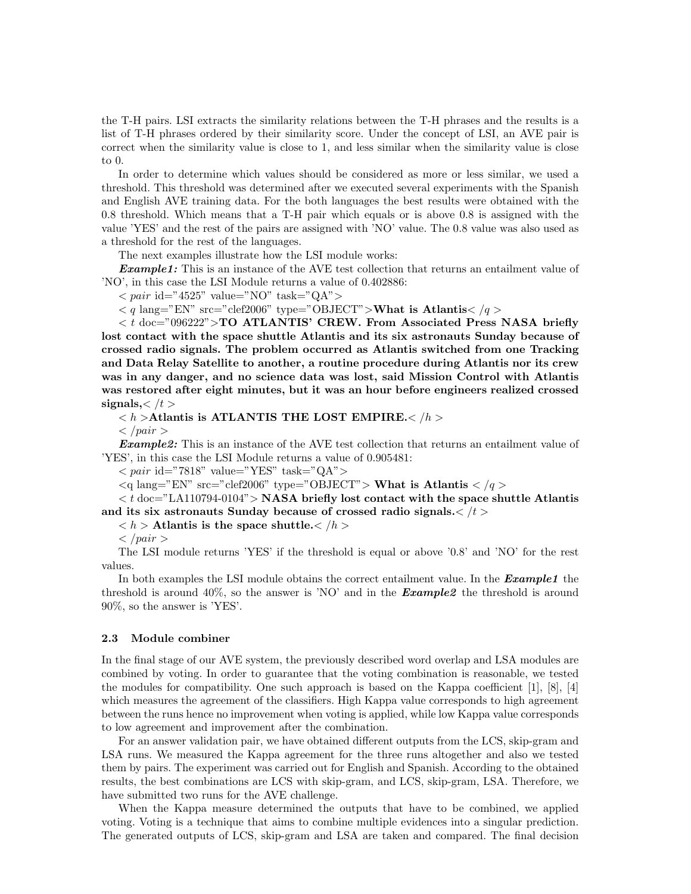the T-H pairs. LSI extracts the similarity relations between the T-H phrases and the results is a list of T-H phrases ordered by their similarity score. Under the concept of LSI, an AVE pair is correct when the similarity value is close to 1, and less similar when the similarity value is close to 0.

In order to determine which values should be considered as more or less similar, we used a threshold. This threshold was determined after we executed several experiments with the Spanish and English AVE training data. For the both languages the best results were obtained with the 0.8 threshold. Which means that a T-H pair which equals or is above 0.8 is assigned with the value 'YES' and the rest of the pairs are assigned with 'NO' value. The 0.8 value was also used as a threshold for the rest of the languages.

The next examples illustrate how the LSI module works:

**Example1:** This is an instance of the AVE test collection that returns an entailment value of 'NO', in this case the LSI Module returns a value of 0.402886:

 $\langle$  pair id="4525" value="NO" task="QA">

 $< q$  lang="EN" src="clef2006" type="OBJECT">What is Atlantis $<$  /q >

 $<$  t doc="096222">TO ATLANTIS' CREW. From Associated Press NASA briefly lost contact with the space shuttle Atlantis and its six astronauts Sunday because of crossed radio signals. The problem occurred as Atlantis switched from one Tracking and Data Relay Satellite to another, a routine procedure during Atlantis nor its crew was in any danger, and no science data was lost, said Mission Control with Atlantis was restored after eight minutes, but it was an hour before engineers realized crossed signals, $\lt/t$ 

 $\langle h \rangle$  >Atlantis is ATLANTIS THE LOST EMPIRE. $\langle h \rangle$ 

 $\langle$  /pair  $\rangle$ 

**Example2:** This is an instance of the AVE test collection that returns an entailment value of 'YES', in this case the LSI Module returns a value of 0.905481:

 $< pair$ id="7818" value="YES" task="QA">

 $\langle q \rangle$  lang="EN" src="clef2006" type="OBJECT"> What is Atlantis  $\langle q \rangle$ 

 $< t$  doc="LA110794-0104"> NASA briefly lost contact with the space shuttle Atlantis and its six astronauts Sunday because of crossed radio signals. $\langle t \rangle$ 

 $h >$  Atlantis is the space shuttle. $h >$ 

 $\langle$  /pair  $\rangle$ 

The LSI module returns 'YES' if the threshold is equal or above '0.8' and 'NO' for the rest values.

In both examples the LSI module obtains the correct entailment value. In the **Example1** the threshold is around 40%, so the answer is 'NO' and in the **Example2** the threshold is around 90%, so the answer is 'YES'.

#### 2.3 Module combiner

In the final stage of our AVE system, the previously described word overlap and LSA modules are combined by voting. In order to guarantee that the voting combination is reasonable, we tested the modules for compatibility. One such approach is based on the Kappa coefficient [1], [8], [4] which measures the agreement of the classifiers. High Kappa value corresponds to high agreement between the runs hence no improvement when voting is applied, while low Kappa value corresponds to low agreement and improvement after the combination.

For an answer validation pair, we have obtained different outputs from the LCS, skip-gram and LSA runs. We measured the Kappa agreement for the three runs altogether and also we tested them by pairs. The experiment was carried out for English and Spanish. According to the obtained results, the best combinations are LCS with skip-gram, and LCS, skip-gram, LSA. Therefore, we have submitted two runs for the AVE challenge.

When the Kappa measure determined the outputs that have to be combined, we applied voting. Voting is a technique that aims to combine multiple evidences into a singular prediction. The generated outputs of LCS, skip-gram and LSA are taken and compared. The final decision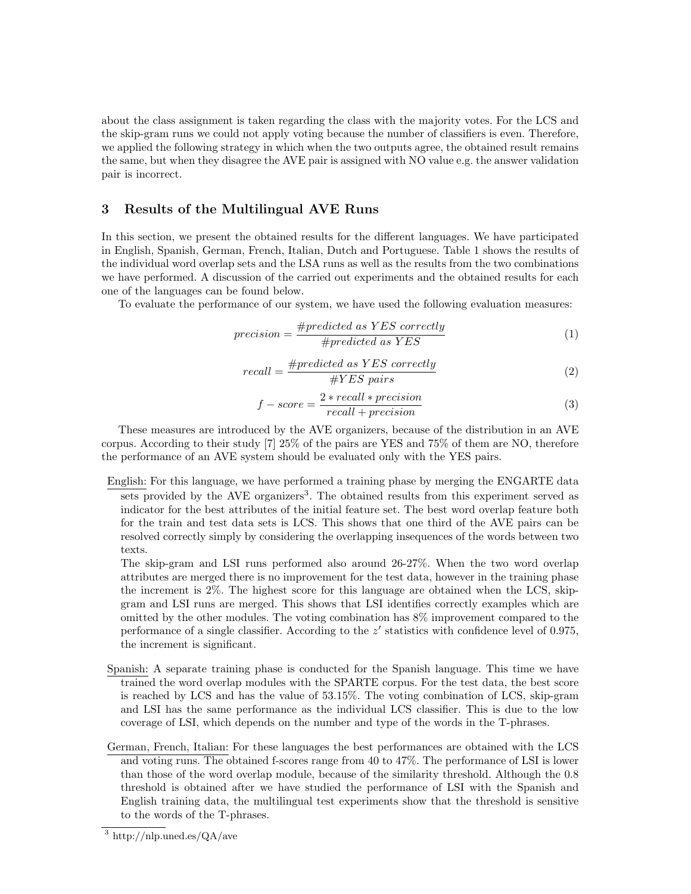about the class assignment is taken regarding the class with the majority votes. For the LCS and the skip-gram runs we could not apply voting because the number of classifiers is even. Therefore, we applied the following strategy in which when the two outputs agree, the obtained result remains the same, but when they disagree the AVE pair is assigned with NO value e.g. the answer validation pair is incorrect.

# 3 Results of the Multilingual AVE Runs

In this section, we present the obtained results for the different languages. We have participated in English, Spanish, German, French, Italian, Dutch and Portuguese. Table 1 shows the results of the individual word overlap sets and the LSA runs as well as the results from the two combinations we have performed. A discussion of the carried out experiments and the obtained results for each one of the languages can be found below.

To evaluate the performance of our system, we have used the following evaluation measures:

$$
precision = \frac{\#predicted \ as \ YES \ correctly}{\# predicted \ as \ YES} \tag{1}
$$

$$
recall = \frac{\#predicted \ as \ YES \ correctly}{\#YES \ pairs} \tag{2}
$$

$$
f-score = \frac{2*recall*precision}{recall+precision}
$$
 (3)

These measures are introduced by the AVE organizers, because of the distribution in an AVE corpus. According to their study [7] 25% of the pairs are YES and 75% of them are NO, therefore the performance of an AVE system should be evaluated only with the YES pairs.

English: For this language, we have performed a training phase by merging the ENGARTE data sets provided by the AVE organizers<sup>3</sup>. The obtained results from this experiment served as indicator for the best attributes of the initial feature set. The best word overlap feature both for the train and test data sets is LCS. This shows that one third of the AVE pairs can be resolved correctly simply by considering the overlapping insequences of the words between two texts.

The skip-gram and LSI runs performed also around 26-27%. When the two word overlap attributes are merged there is no improvement for the test data, however in the training phase the increment is 2%. The highest score for this language are obtained when the LCS, skipgram and LSI runs are merged. This shows that LSI identifies correctly examples which are omitted by the other modules. The voting combination has 8% improvement compared to the performance of a single classifier. According to the  $z'$  statistics with confidence level of 0.975, the increment is significant.

- Spanish: A separate training phase is conducted for the Spanish language. This time we have trained the word overlap modules with the SPARTE corpus. For the test data, the best score is reached by LCS and has the value of 53.15%. The voting combination of LCS, skip-gram and LSI has the same performance as the individual LCS classifier. This is due to the low coverage of LSI, which depends on the number and type of the words in the T-phrases.
- German, French, Italian: For these languages the best performances are obtained with the LCS and voting runs. The obtained f-scores range from 40 to 47%. The performance of LSI is lower than those of the word overlap module, because of the similarity threshold. Although the 0.8 threshold is obtained after we have studied the performance of LSI with the Spanish and English training data, the multilingual test experiments show that the threshold is sensitive to the words of the T-phrases.

<sup>3</sup> http://nlp.uned.es/QA/ave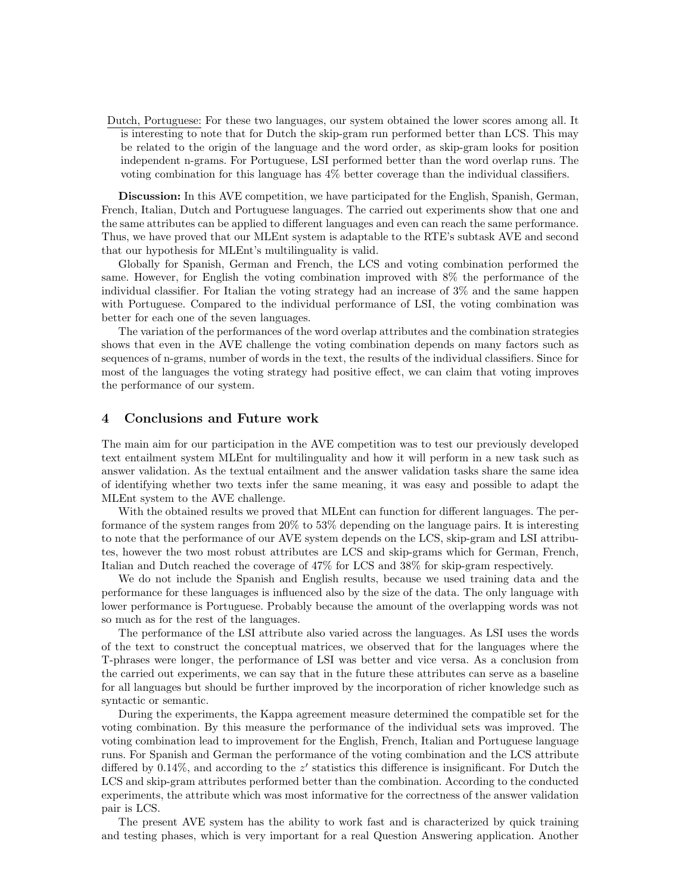Dutch, Portuguese: For these two languages, our system obtained the lower scores among all. It is interesting to note that for Dutch the skip-gram run performed better than LCS. This may be related to the origin of the language and the word order, as skip-gram looks for position independent n-grams. For Portuguese, LSI performed better than the word overlap runs. The voting combination for this language has 4% better coverage than the individual classifiers.

Discussion: In this AVE competition, we have participated for the English, Spanish, German, French, Italian, Dutch and Portuguese languages. The carried out experiments show that one and the same attributes can be applied to different languages and even can reach the same performance. Thus, we have proved that our MLEnt system is adaptable to the RTE's subtask AVE and second that our hypothesis for MLEnt's multilinguality is valid.

Globally for Spanish, German and French, the LCS and voting combination performed the same. However, for English the voting combination improved with 8% the performance of the individual classifier. For Italian the voting strategy had an increase of 3% and the same happen with Portuguese. Compared to the individual performance of LSI, the voting combination was better for each one of the seven languages.

The variation of the performances of the word overlap attributes and the combination strategies shows that even in the AVE challenge the voting combination depends on many factors such as sequences of n-grams, number of words in the text, the results of the individual classifiers. Since for most of the languages the voting strategy had positive effect, we can claim that voting improves the performance of our system.

## 4 Conclusions and Future work

The main aim for our participation in the AVE competition was to test our previously developed text entailment system MLEnt for multilinguality and how it will perform in a new task such as answer validation. As the textual entailment and the answer validation tasks share the same idea of identifying whether two texts infer the same meaning, it was easy and possible to adapt the MLEnt system to the AVE challenge.

With the obtained results we proved that MLEnt can function for different languages. The performance of the system ranges from 20% to 53% depending on the language pairs. It is interesting to note that the performance of our AVE system depends on the LCS, skip-gram and LSI attributes, however the two most robust attributes are LCS and skip-grams which for German, French, Italian and Dutch reached the coverage of 47% for LCS and 38% for skip-gram respectively.

We do not include the Spanish and English results, because we used training data and the performance for these languages is influenced also by the size of the data. The only language with lower performance is Portuguese. Probably because the amount of the overlapping words was not so much as for the rest of the languages.

The performance of the LSI attribute also varied across the languages. As LSI uses the words of the text to construct the conceptual matrices, we observed that for the languages where the T-phrases were longer, the performance of LSI was better and vice versa. As a conclusion from the carried out experiments, we can say that in the future these attributes can serve as a baseline for all languages but should be further improved by the incorporation of richer knowledge such as syntactic or semantic.

During the experiments, the Kappa agreement measure determined the compatible set for the voting combination. By this measure the performance of the individual sets was improved. The voting combination lead to improvement for the English, French, Italian and Portuguese language runs. For Spanish and German the performance of the voting combination and the LCS attribute differed by  $0.14\%$ , and according to the  $z'$  statistics this difference is insignificant. For Dutch the LCS and skip-gram attributes performed better than the combination. According to the conducted experiments, the attribute which was most informative for the correctness of the answer validation pair is LCS.

The present AVE system has the ability to work fast and is characterized by quick training and testing phases, which is very important for a real Question Answering application. Another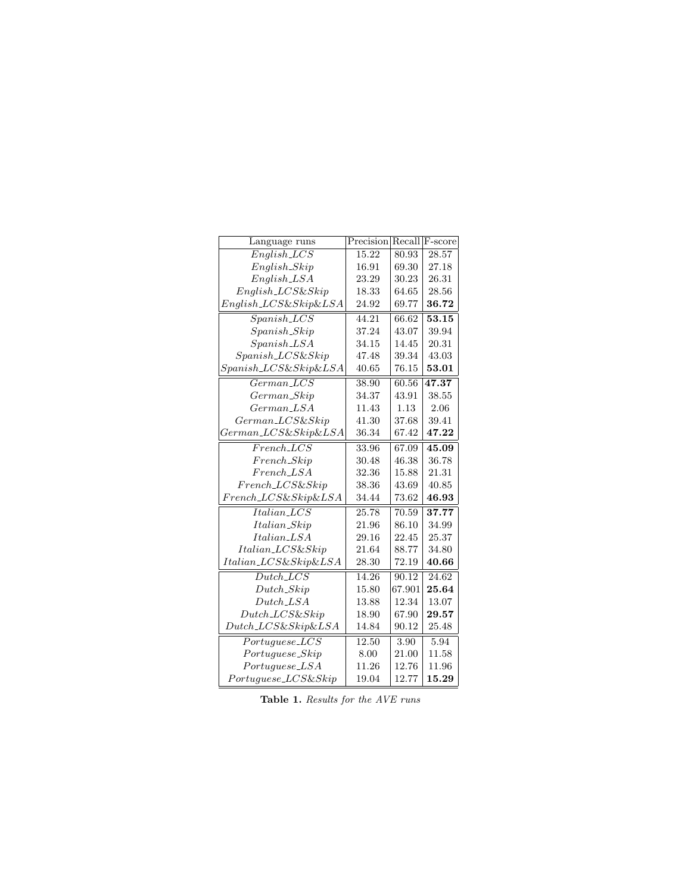| Language runs             | Precision |        | Recall F-score |
|---------------------------|-----------|--------|----------------|
| $English\_LCS$            | 15.22     | 80.93  | 28.57          |
| $English\_skip$           | 16.91     | 69.30  | 27.18          |
| $English$ <sub>LSA</sub>  | 23.29     | 30.23  | 26.31          |
| $English\_LCS\&skip$      | 18.33     | 64.65  | 28.56          |
| $English\_LCS\&Skip\&LSA$ | 24.92     | 69.77  | 36.72          |
| $Spanish\_LCS$            | 44.21     | 66.62  | 53.15          |
| $Spanish\_skip$           | 37.24     | 43.07  | 39.94          |
| $Spanish\_{ISA}$          | 34.15     | 14.45  | 20.31          |
| $Spanish\_LCS\&Skip$      | 47.48     | 39.34  | 43.03          |
| $Spanish\_LCS\&Skip\&LSA$ | 40.65     | 76.15  | 53.01          |
| $German\_LCS$             | 38.90     | 60.56  | 47.37          |
| $German\_Skip$            | 34.37     | 43.91  | 38.55          |
| $German\_LSA$             | 11.43     | 1.13   | 2.06           |
| $German\_LCS\&skip$       | 41.30     | 37.68  | 39.41          |
| $German\_LCS\&Skip\&LSA$  | 36.34     | 67.42  | 47.22          |
| $French\_LCS$             | 33.96     | 67.09  | 45.09          |
| $French\_skip$            | 30.48     | 46.38  | 36.78          |
| $French\_LSA$             | 32.36     | 15.88  | 21.31          |
| $French_LCS\&skip$        | 38.36     | 43.69  | 40.85          |
| $French\_LCS\&Skip\&LSA$  | 34.44     | 73.62  | 46.93          |
| $Italian\_LCS$            | 25.78     | 70.59  | 37.77          |
| Italian_Skip              | 21.96     | 86.10  | 34.99          |
| Italian_LSA               | 29.16     | 22.45  | 25.37          |
| Italian_LCS&Skip          | 21.64     | 88.77  | 34.80          |
| Italian_LCS&Skip&LSA      | 28.30     | 72.19  | 40.66          |
| $Dutch\_LCS$              | 14.26     | 90.12  | 24.62          |
| $Dutch\_skip$             | 15.80     | 67.901 | 25.64          |
| $Dutch\_LSA$              | 13.88     | 12.34  | 13.07          |
| $Dutch\_LCS\&Skip$        | 18.90     | 67.90  | 29.57          |
| $Dutch\_LCS\&Skip\&LSA$   | 14.84     | 90.12  | 25.48          |
| $Portuguese\_LCS$         | 12.50     | 3.90   | 5.94           |
| Portuguese_Skip           | 8.00      | 21.00  | 11.58          |
| $Portuguese\_LSA$         | 11.26     | 12.76  | 11.96          |
| $Portuguese\_LCS\&skip$   | 19.04     | 12.77  | 15.29          |

Table 1. Results for the AVE runs